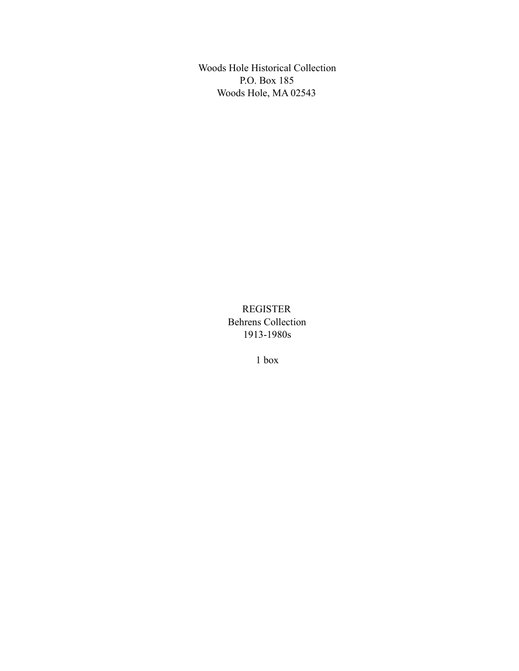Woods Hole Historical Collection P.O. Box 185 Woods Hole, MA 02543

> REGISTER Behrens Collection 1913-1980s

> > 1 box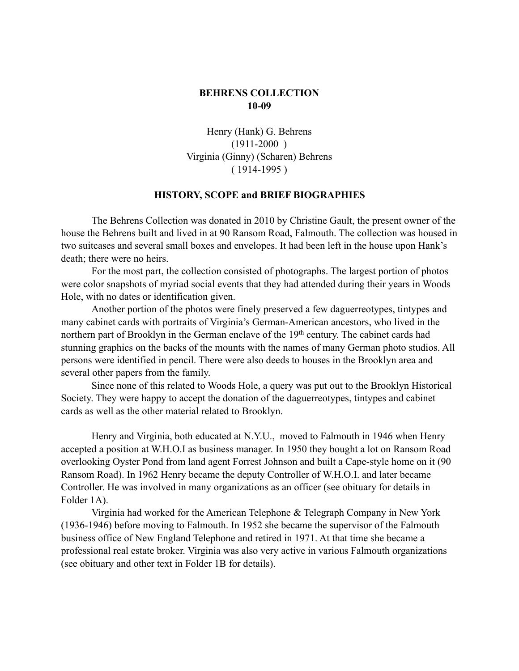## **BEHRENS COLLECTION 10-09**

Henry (Hank) G. Behrens  $(1911-2000)$ Virginia (Ginny) (Scharen) Behrens  $(1914-1995)$ 

## **HISTORY, SCOPE and BRIEF BIOGRAPHIES**

The Behrens Collection was donated in 2010 by Christine Gault, the present owner of the house the Behrens built and lived in at 90 Ransom Road, Falmouth. The collection was housed in two suitcases and several small boxes and envelopes. It had been left in the house upon Hank's death; there were no heirs.

For the most part, the collection consisted of photographs. The largest portion of photos were color snapshots of myriad social events that they had attended during their years in Woods Hole, with no dates or identification given.

Another portion of the photos were finely preserved a few daguerreotypes, tintypes and many cabinet cards with portraits of Virginia's German-American ancestors, who lived in the northern part of Brooklyn in the German enclave of the 19<sup>th</sup> century. The cabinet cards had stunning graphics on the backs of the mounts with the names of many German photo studios. All persons were identified in pencil. There were also deeds to houses in the Brooklyn area and several other papers from the family.

Since none of this related to Woods Hole, a query was put out to the Brooklyn Historical Society. They were happy to accept the donation of the daguerreotypes, tintypes and cabinet cards as well as the other material related to Brooklyn.

Henry and Virginia, both educated at N.Y.U., moved to Falmouth in 1946 when Henry accepted a position at W.H.O.I as business manager. In 1950 they bought a lot on Ransom Road overlooking Oyster Pond from land agent Forrest Johnson and built a Cape-style home on it (90 Ransom Road). In 1962 Henry became the deputy Controller of W.H.O.I. and later became Controller. He was involved in many organizations as an officer (see obituary for details in Folder 1A).

Virginia had worked for the American Telephone & Telegraph Company in New York (1936-1946) before moving to Falmouth. In 1952 she became the supervisor of the Falmouth business office of New England Telephone and retired in 1971. At that time she became a professional real estate broker. Virginia was also very active in various Falmouth organizations (see obituary and other text in Folder 1B for details).